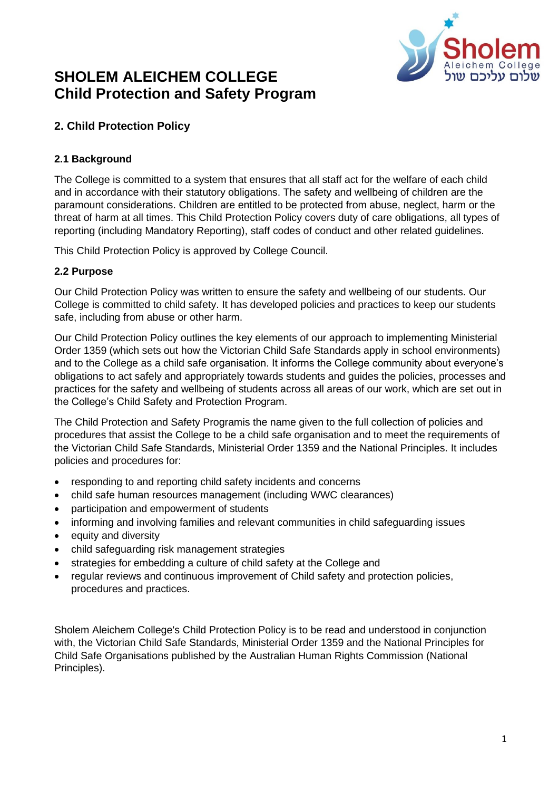

# **SHOLEM ALEICHEM COLLEGE Child Protection and Safety Program**

# **2. Child Protection Policy**

# **2.1 Background**

The College is committed to a system that ensures that all staff act for the welfare of each child and in accordance with their statutory obligations. The safety and wellbeing of children are the paramount considerations. Children are entitled to be protected from abuse, neglect, harm or the threat of harm at all times. This Child Protection Policy covers duty of care obligations, all types of reporting (including Mandatory Reporting), staff codes of conduct and other related guidelines.

This [Child Protection Policy](https://sholem.complispaceprimary.com.au/module/53/page/04a71e8b-21b0-4a66-8b06-a479ec3e5b07.md) is approved by College Council.

# **2.2 Purpose**

Our [Child Protection Policy](https://sholem.complispaceprimary.com.au/module/53/page/04a71e8b-21b0-4a66-8b06-a479ec3e5b07.md) was written to ensure the safety and wellbeing of our students. Our College is committed to child safety. It has developed policies and practices to keep our students safe, including from abuse or other harm.

Our Child Protection Policy outlines the key elements of our approach to implementing Ministerial Order 1359 (which sets out how the Victorian Child Safe Standards apply in school environments) and to the College as a child safe organisation. It informs the College community about everyone's obligations to act safely and appropriately towards students and guides the policies, processes and practices for the safety and wellbeing of students across all areas of our work, which are set out in the College's Child Safety and Protection Program.

The Child Protection and Safety Programis the name given to the full collection of policies and procedures that assist the College to be a child safe organisation and to meet the requirements of the Victorian Child Safe Standards, Ministerial Order 1359 and the National Principles. It includes policies and procedures for:

- responding to and reporting child safety incidents and concerns
- child safe human resources management (including WWC clearances)
- participation and empowerment of students
- informing and involving families and relevant communities in child safeguarding issues
- equity and diversity
- child safeguarding risk management strategies
- strategies for embedding a culture of child safety at the College and
- regular reviews and continuous improvement of Child safety and protection policies, procedures and practices.

Sholem Aleichem College's [Child Protection Policy](https://sholem.complispaceprimary.com.au/module/53/page/04a71e8b-21b0-4a66-8b06-a479ec3e5b07.md) is to be read and understood in conjunction with, the [Victorian Child Safe Standards,](https://ccyp.vic.gov.au/child-safe-standards/the-seven-standards-and-the-child-safe-principles-2/) [Ministerial Order 1359](https://www.vrqa.vic.gov.au/childsafe/pages/documents/Min%20Order%20870%20Child%20Safe%20Standards.pdf) and the [National Principles for](https://childsafe.humanrights.gov.au/national-principles)  [Child Safe Organisations](https://childsafe.humanrights.gov.au/national-principles) published by the Australian Human Rights Commission (National Principles).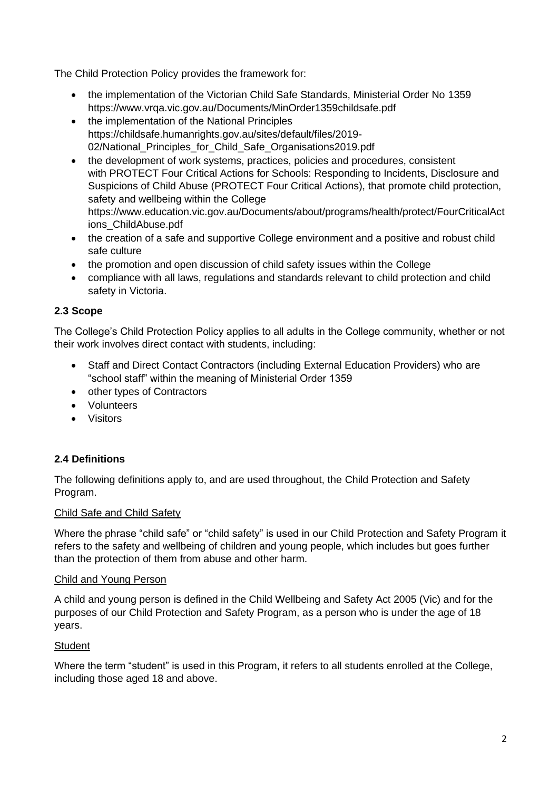The [Child Protection Policy](https://sholem.complispaceprimary.com.au/module/53/page/04a71e8b-21b0-4a66-8b06-a479ec3e5b07.md) provides the framework for:

- the implementation of the Victorian Child Safe Standards, Ministerial Order No 1359 https://www.vrqa.vic.gov.au/Documents/MinOrder1359childsafe.pdf
- the implementation of the National Principles https://childsafe.humanrights.gov.au/sites/default/files/2019- 02/National Principles for Child Safe Organisations2019.pdf
- the development of work systems, practices, policies and procedures, consistent with [PROTECT Four Critical Actions for Schools: Responding to Incidents, Disclosure and](https://www.education.vic.gov.au/Documents/about/programs/health/protect/FourCriticalActions_ChildAbuse.pdf)  [Suspicions of Child Abuse](https://www.education.vic.gov.au/Documents/about/programs/health/protect/FourCriticalActions_ChildAbuse.pdf) (PROTECT Four Critical Actions), that promote child protection, safety and wellbeing within the College https://www.education.vic.gov.au/Documents/about/programs/health/protect/FourCriticalAct ions\_ChildAbuse.pdf
- the creation of a safe and supportive College environment and a positive and robust child safe culture
- the promotion and open discussion of child safety issues within the College
- compliance with all laws, regulations and standards relevant to child protection and child safety in Victoria.

# **2.3 Scope**

The College's Child Protection Policy applies to all adults in the College community, whether or not their work involves direct contact with students, including:

- Staff and Direct Contact Contractors (including External Education Providers) who are "school staff" within the meaning of Ministerial Order 1359
- other types of Contractors
- Volunteers
- Visitors

# **2.4 Definitions**

The following definitions apply to, and are used throughout, the Child Protection and Safety Program.

# Child Safe and Child Safety

Where the phrase "child safe" or "child safety" is used in our Child Protection and Safety Program it refers to the safety and wellbeing of children and young people, which includes but goes further than the protection of them from abuse and other harm.

#### Child and Young Person

A child and young person is defined in the Child Wellbeing and Safety Act 2005 (Vic) and for the purposes of our Child Protection and Safety Program, as a person who is under the age of 18 years.

# **Student**

Where the term "student" is used in this Program, it refers to all students enrolled at the College, including those aged 18 and above.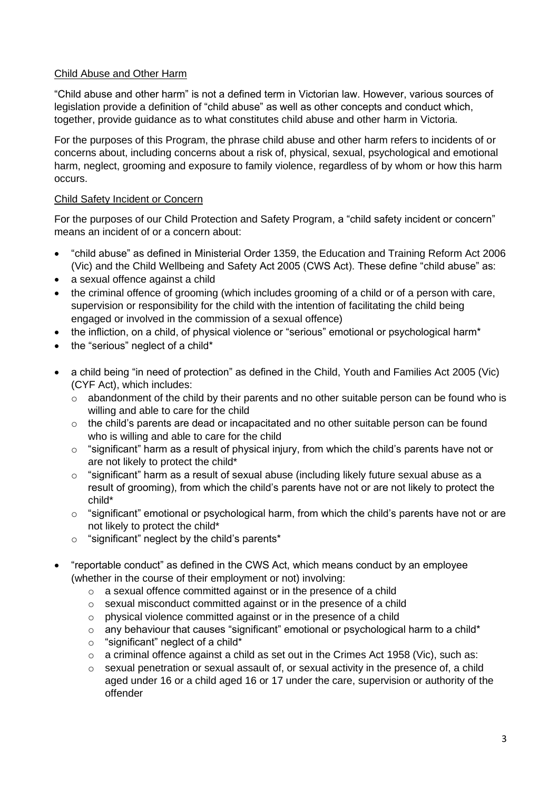# Child Abuse and Other Harm

"Child abuse and other harm" is not a defined term in Victorian law. However, various sources of legislation provide a definition of "child abuse" as well as other concepts and conduct which, together, provide guidance as to what constitutes child abuse and other harm in Victoria.

For the purposes of this Program, the phrase child abuse and other harm refers to incidents of or concerns about, including concerns about a risk of, physical, sexual, psychological and emotional harm, neglect, grooming and exposure to family violence, regardless of by whom or how this harm occurs.

# Child Safety Incident or Concern

For the purposes of our Child Protection and Safety Program, a "child safety incident or concern" means an incident of or a concern about:

- "child abuse" as defined in Ministerial Order 1359, the Education and Training Reform Act 2006 (Vic) and the Child Wellbeing and Safety Act 2005 (CWS Act). These define "child abuse" as:
- a sexual offence against a child
- the criminal offence of grooming (which includes grooming of a child or of a person with care, supervision or responsibility for the child with the intention of facilitating the child being engaged or involved in the commission of a sexual offence)
- the infliction, on a child, of physical violence or "serious" emotional or psychological harm\*
- the "serious" neglect of a child\*
- a child being "in need of protection" as defined in the Child, Youth and Families Act 2005 (Vic) (CYF Act), which includes:
	- $\circ$  abandonment of the child by their parents and no other suitable person can be found who is willing and able to care for the child
	- o the child's parents are dead or incapacitated and no other suitable person can be found who is willing and able to care for the child
	- $\circ$  "significant" harm as a result of physical injury, from which the child's parents have not or are not likely to protect the child\*
	- $\circ$  "significant" harm as a result of sexual abuse (including likely future sexual abuse as a result of grooming), from which the child's parents have not or are not likely to protect the child\*
	- $\circ$  "significant" emotional or psychological harm, from which the child's parents have not or are not likely to protect the child\*
	- o "significant" neglect by the child's parents\*
- "reportable conduct" as defined in the CWS Act, which means conduct by an employee (whether in the course of their employment or not) involving:
	- o a sexual offence committed against or in the presence of a child
	- o sexual misconduct committed against or in the presence of a child
	- o physical violence committed against or in the presence of a child
	- $\circ$  any behaviour that causes "significant" emotional or psychological harm to a child\*
	- $\circ$  "significant" neglect of a child\*
	- $\circ$  a criminal offence against a child as set out in the Crimes Act 1958 (Vic), such as:
	- o sexual penetration or sexual assault of, or sexual activity in the presence of, a child aged under 16 or a child aged 16 or 17 under the care, supervision or authority of the offender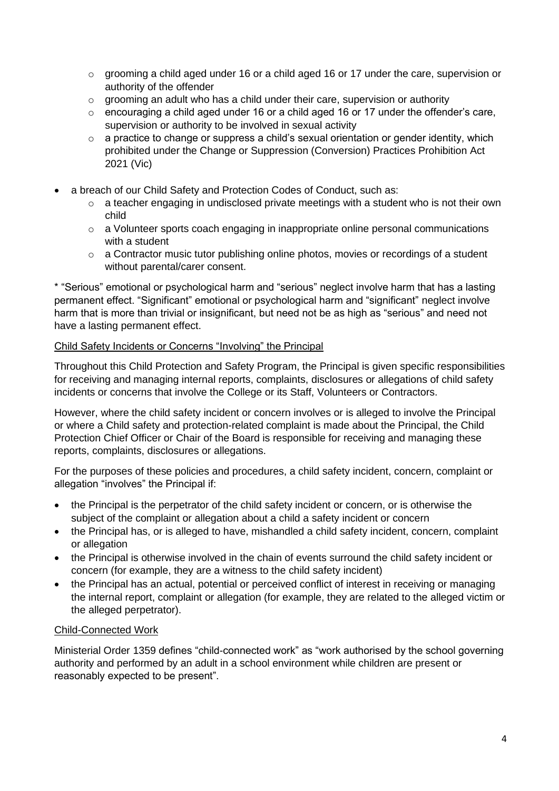- $\circ$  grooming a child aged under 16 or a child aged 16 or 17 under the care, supervision or authority of the offender
- $\circ$  grooming an adult who has a child under their care, supervision or authority
- $\circ$  encouraging a child aged under 16 or a child aged 16 or 17 under the offender's care, supervision or authority to be involved in sexual activity
- o a practice to change or suppress a child's sexual orientation or gender identity, which prohibited under the Change or Suppression (Conversion) Practices Prohibition Act 2021 (Vic)
- a breach of our Child Safety and Protection Codes of Conduct, such as:
	- $\circ$  a teacher engaging in undisclosed private meetings with a student who is not their own child
	- o a Volunteer sports coach engaging in inappropriate online personal communications with a student
	- o a Contractor music tutor publishing online photos, movies or recordings of a student without parental/carer consent.

\* "Serious" emotional or psychological harm and "serious" neglect involve harm that has a lasting permanent effect. "Significant" emotional or psychological harm and "significant" neglect involve harm that is more than trivial or insignificant, but need not be as high as "serious" and need not have a lasting permanent effect.

#### Child Safety Incidents or Concerns "Involving" the Principal

Throughout this Child Protection and Safety Program, the Principal is given specific responsibilities for receiving and managing internal reports, complaints, disclosures or allegations of child safety incidents or concerns that involve the College or its Staff, Volunteers or Contractors.

However, where the child safety incident or concern involves or is alleged to involve the Principal or where a Child safety and protection-related complaint is made about the Principal, the Child Protection Chief Officer or Chair of the Board is responsible for receiving and managing these reports, complaints, disclosures or allegations.

For the purposes of these policies and procedures, a child safety incident, concern, complaint or allegation "involves" the Principal if:

- the Principal is the perpetrator of the child safety incident or concern, or is otherwise the subject of the complaint or allegation about a child a safety incident or concern
- the Principal has, or is alleged to have, mishandled a child safety incident, concern, complaint or allegation
- the Principal is otherwise involved in the chain of events surround the child safety incident or concern (for example, they are a witness to the child safety incident)
- the Principal has an actual, potential or perceived conflict of interest in receiving or managing the internal report, complaint or allegation (for example, they are related to the alleged victim or the alleged perpetrator).

#### Child-Connected Work

Ministerial Order 1359 defines "child-connected work" as "work authorised by the school governing authority and performed by an adult in a school environment while children are present or reasonably expected to be present".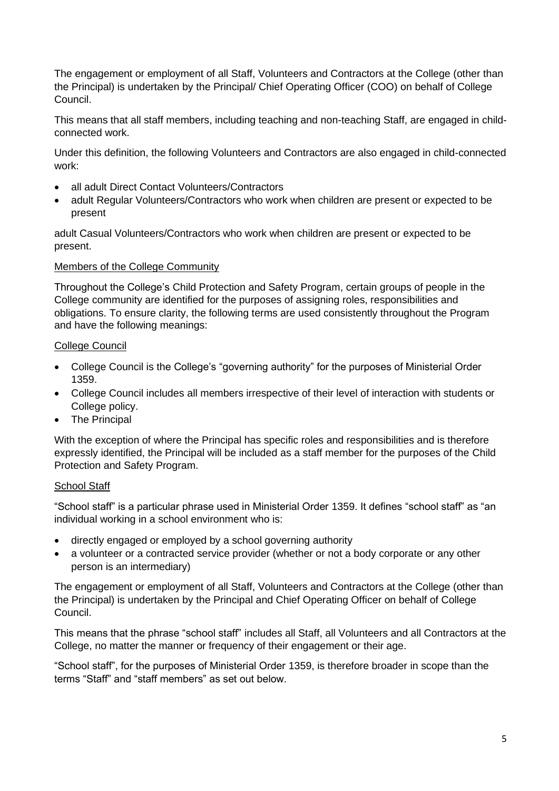The engagement or employment of all Staff, Volunteers and Contractors at the College (other than the Principal) is undertaken by the Principal/ Chief Operating Officer (COO) on behalf of College Council.

This means that all staff members, including teaching and non-teaching Staff, are engaged in childconnected work.

Under this definition, the following Volunteers and Contractors are also engaged in child-connected work:

- all adult Direct Contact Volunteers/Contractors
- adult Regular Volunteers/Contractors who work when children are present or expected to be present

adult Casual Volunteers/Contractors who work when children are present or expected to be present.

# Members of the College Community

Throughout the College's Child Protection and Safety Program, certain groups of people in the College community are identified for the purposes of assigning roles, responsibilities and obligations. To ensure clarity, the following terms are used consistently throughout the Program and have the following meanings:

# College Council

- College Council is the College's "governing authority" for the purposes of Ministerial Order 1359.
- College Council includes all members irrespective of their level of interaction with students or College policy.
- The Principal

With the exception of where the Principal has specific roles and responsibilities and is therefore expressly identified, the Principal will be included as a staff member for the purposes of the Child Protection and Safety Program.

#### **School Staff**

"School staff" is a particular phrase used in Ministerial Order 1359. It defines "school staff" as "an individual working in a school environment who is:

- directly engaged or employed by a school governing authority
- a volunteer or a contracted service provider (whether or not a body corporate or any other person is an intermediary)

The engagement or employment of all Staff, Volunteers and Contractors at the College (other than the Principal) is undertaken by the Principal and Chief Operating Officer on behalf of College Council.

This means that the phrase "school staff" includes all Staff, all Volunteers and all Contractors at the College, no matter the manner or frequency of their engagement or their age.

"School staff", for the purposes of Ministerial Order 1359, is therefore broader in scope than the terms "Staff" and "staff members" as set out below.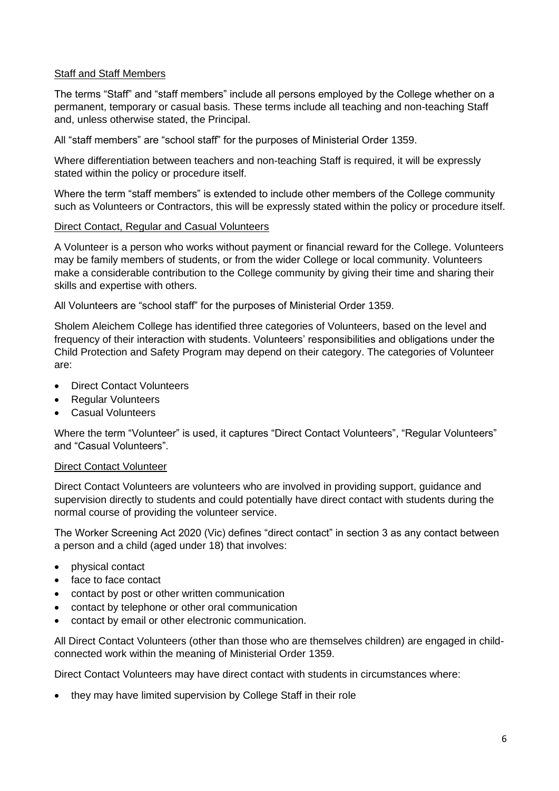#### **Staff and Staff Members**

The terms "Staff" and "staff members" include all persons employed by the College whether on a permanent, temporary or casual basis. These terms include all teaching and non-teaching Staff and, unless otherwise stated, the Principal.

All "staff members" are "school staff" for the purposes of Ministerial Order 1359.

Where differentiation between teachers and non-teaching Staff is required, it will be expressly stated within the policy or procedure itself.

Where the term "staff members" is extended to include other members of the College community such as Volunteers or Contractors, this will be expressly stated within the policy or procedure itself.

# Direct Contact, Regular and Casual Volunteers

A Volunteer is a person who works without payment or financial reward for the College. Volunteers may be family members of students, or from the wider College or local community. Volunteers make a considerable contribution to the College community by giving their time and sharing their skills and expertise with others.

All Volunteers are "school staff" for the purposes of Ministerial Order 1359.

Sholem Aleichem College has identified three categories of Volunteers, based on the level and frequency of their interaction with students. Volunteers' responsibilities and obligations under the Child Protection and Safety Program may depend on their category. The categories of Volunteer are:

- Direct Contact Volunteers
- Regular Volunteers
- Casual Volunteers

Where the term "Volunteer" is used, it captures "Direct Contact Volunteers", "Regular Volunteers" and "Casual Volunteers".

# Direct Contact Volunteer

Direct Contact Volunteers are volunteers who are involved in providing support, guidance and supervision directly to students and could potentially have direct contact with students during the normal course of providing the volunteer service.

The Worker Screening Act 2020 (Vic) defines "direct contact" in section 3 as any contact between a person and a child (aged under 18) that involves:

- physical contact
- face to face contact
- contact by post or other written communication
- contact by telephone or other oral communication
- contact by email or other electronic communication.

All Direct Contact Volunteers (other than those who are themselves children) are engaged in childconnected work within the meaning of Ministerial Order 1359.

Direct Contact Volunteers may have direct contact with students in circumstances where:

• they may have limited supervision by College Staff in their role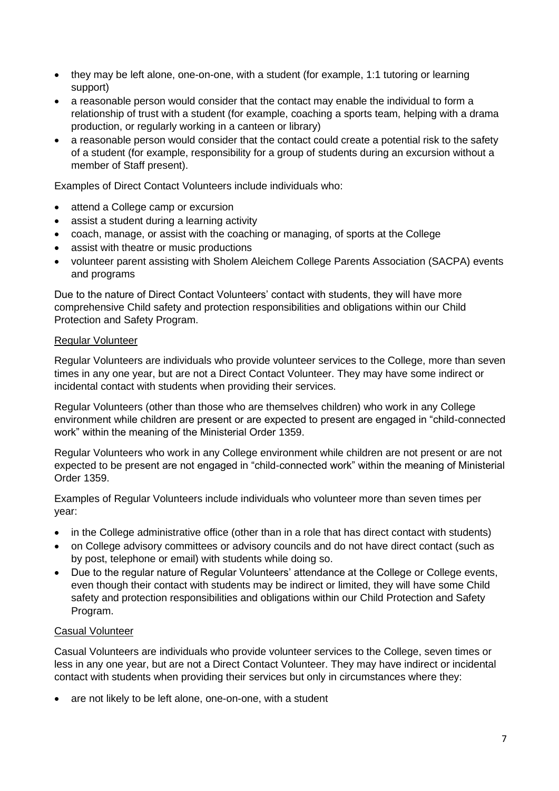- they may be left alone, one-on-one, with a student (for example, 1:1 tutoring or learning support)
- a reasonable person would consider that the contact may enable the individual to form a relationship of trust with a student (for example, coaching a sports team, helping with a drama production, or regularly working in a canteen or library)
- a reasonable person would consider that the contact could create a potential risk to the safety of a student (for example, responsibility for a group of students during an excursion without a member of Staff present).

Examples of Direct Contact Volunteers include individuals who:

- attend a College camp or excursion
- assist a student during a learning activity
- coach, manage, or assist with the coaching or managing, of sports at the College
- assist with theatre or music productions
- volunteer parent assisting with Sholem Aleichem College Parents Association (SACPA) events and programs

Due to the nature of Direct Contact Volunteers' contact with students, they will have more comprehensive Child safety and protection responsibilities and obligations within our Child Protection and Safety Program.

#### Regular Volunteer

Regular Volunteers are individuals who provide volunteer services to the College, more than seven times in any one year, but are not a Direct Contact Volunteer. They may have some indirect or incidental contact with students when providing their services.

Regular Volunteers (other than those who are themselves children) who work in any College environment while children are present or are expected to present are engaged in "child-connected work" within the meaning of the Ministerial Order 1359.

Regular Volunteers who work in any College environment while children are not present or are not expected to be present are not engaged in "child-connected work" within the meaning of Ministerial Order 1359.

Examples of Regular Volunteers include individuals who volunteer more than seven times per year:

- in the College administrative office (other than in a role that has direct contact with students)
- on College advisory committees or advisory councils and do not have direct contact (such as by post, telephone or email) with students while doing so.
- Due to the regular nature of Regular Volunteers' attendance at the College or College events, even though their contact with students may be indirect or limited, they will have some Child safety and protection responsibilities and obligations within our Child Protection and Safety Program.

# Casual Volunteer

Casual Volunteers are individuals who provide volunteer services to the College, seven times or less in any one year, but are not a Direct Contact Volunteer. They may have indirect or incidental contact with students when providing their services but only in circumstances where they:

• are not likely to be left alone, one-on-one, with a student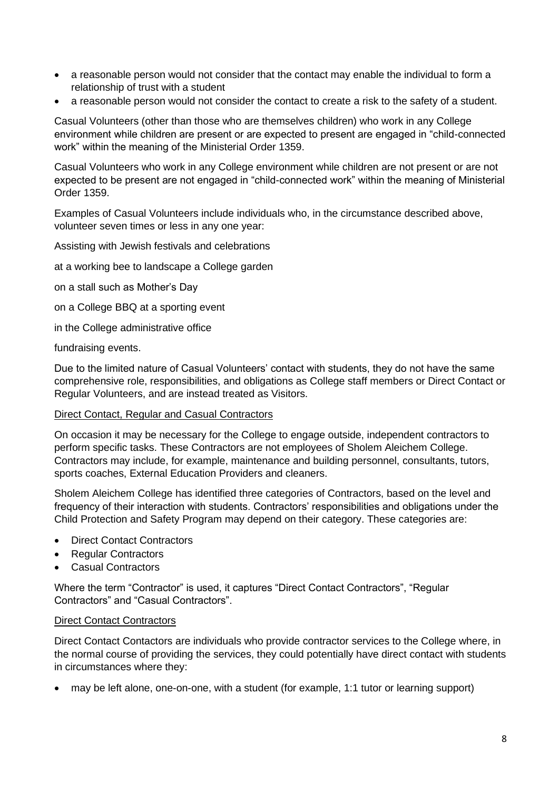- a reasonable person would not consider that the contact may enable the individual to form a relationship of trust with a student
- a reasonable person would not consider the contact to create a risk to the safety of a student.

Casual Volunteers (other than those who are themselves children) who work in any College environment while children are present or are expected to present are engaged in "child-connected work" within the meaning of the Ministerial Order 1359.

Casual Volunteers who work in any College environment while children are not present or are not expected to be present are not engaged in "child-connected work" within the meaning of Ministerial Order 1359.

Examples of Casual Volunteers include individuals who, in the circumstance described above, volunteer seven times or less in any one year:

Assisting with Jewish festivals and celebrations

at a working bee to landscape a College garden

on a stall such as Mother's Day

on a College BBQ at a sporting event

in the College administrative office

fundraising events.

Due to the limited nature of Casual Volunteers' contact with students, they do not have the same comprehensive role, responsibilities, and obligations as College staff members or Direct Contact or Regular Volunteers, and are instead treated as Visitors.

#### Direct Contact, Regular and Casual Contractors

On occasion it may be necessary for the College to engage outside, independent contractors to perform specific tasks. These Contractors are not employees of Sholem Aleichem College. Contractors may include, for example, maintenance and building personnel, consultants, tutors, sports coaches, External Education Providers and cleaners.

Sholem Aleichem College has identified three categories of Contractors, based on the level and frequency of their interaction with students. Contractors' responsibilities and obligations under the Child Protection and Safety Program may depend on their category. These categories are:

- Direct Contact Contractors
- Regular Contractors
- Casual Contractors

Where the term "Contractor" is used, it captures "Direct Contact Contractors", "Regular Contractors" and "Casual Contractors".

#### Direct Contact Contractors

Direct Contact Contactors are individuals who provide contractor services to the College where, in the normal course of providing the services, they could potentially have direct contact with students in circumstances where they:

• may be left alone, one-on-one, with a student (for example, 1:1 tutor or learning support)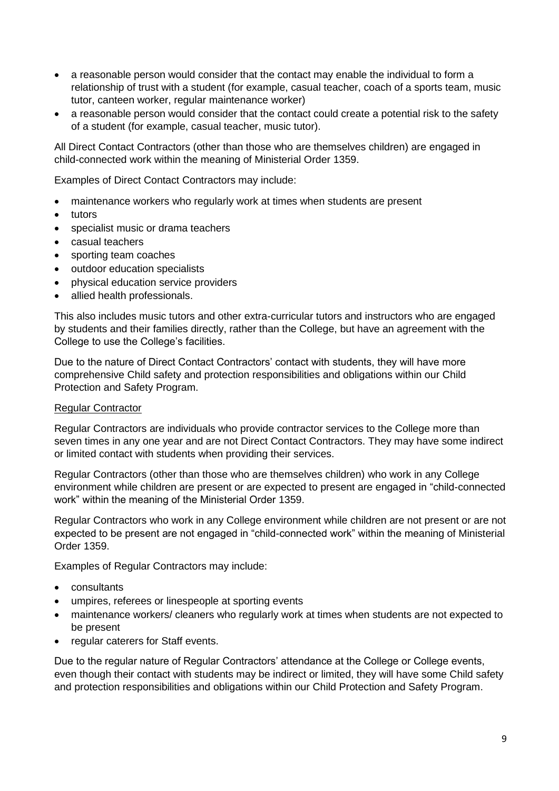- a reasonable person would consider that the contact may enable the individual to form a relationship of trust with a student (for example, casual teacher, coach of a sports team, music tutor, canteen worker, regular maintenance worker)
- a reasonable person would consider that the contact could create a potential risk to the safety of a student (for example, casual teacher, music tutor).

All Direct Contact Contractors (other than those who are themselves children) are engaged in child-connected work within the meaning of Ministerial Order 1359.

Examples of Direct Contact Contractors may include:

- maintenance workers who regularly work at times when students are present
- tutors
- specialist music or drama teachers
- casual teachers
- sporting team coaches
- outdoor education specialists
- physical education service providers
- allied health professionals.

This also includes music tutors and other extra-curricular tutors and instructors who are engaged by students and their families directly, rather than the College, but have an agreement with the College to use the College's facilities.

Due to the nature of Direct Contact Contractors' contact with students, they will have more comprehensive Child safety and protection responsibilities and obligations within our Child Protection and Safety Program.

#### Regular Contractor

Regular Contractors are individuals who provide contractor services to the College more than seven times in any one year and are not Direct Contact Contractors. They may have some indirect or limited contact with students when providing their services.

Regular Contractors (other than those who are themselves children) who work in any College environment while children are present or are expected to present are engaged in "child-connected work" within the meaning of the Ministerial Order 1359.

Regular Contractors who work in any College environment while children are not present or are not expected to be present are not engaged in "child-connected work" within the meaning of Ministerial Order 1359.

Examples of Regular Contractors may include:

- consultants
- umpires, referees or linespeople at sporting events
- maintenance workers/ cleaners who regularly work at times when students are not expected to be present
- regular caterers for Staff events.

Due to the regular nature of Regular Contractors' attendance at the College or College events, even though their contact with students may be indirect or limited, they will have some Child safety and protection responsibilities and obligations within our Child Protection and Safety Program.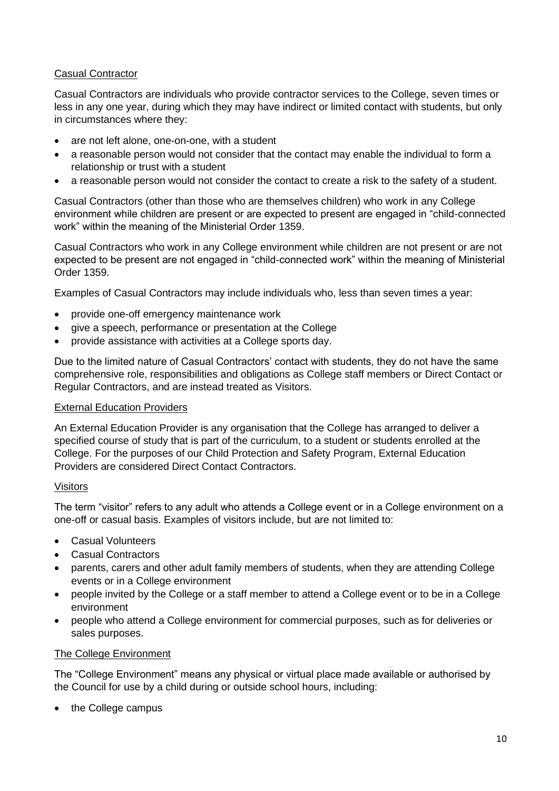# Casual Contractor

Casual Contractors are individuals who provide contractor services to the College, seven times or less in any one year, during which they may have indirect or limited contact with students, but only in circumstances where they:

- are not left alone, one-on-one, with a student
- a reasonable person would not consider that the contact may enable the individual to form a relationship or trust with a student
- a reasonable person would not consider the contact to create a risk to the safety of a student.

Casual Contractors (other than those who are themselves children) who work in any College environment while children are present or are expected to present are engaged in "child-connected work" within the meaning of the Ministerial Order 1359.

Casual Contractors who work in any College environment while children are not present or are not expected to be present are not engaged in "child-connected work" within the meaning of Ministerial Order 1359.

Examples of Casual Contractors may include individuals who, less than seven times a year:

- provide one-off emergency maintenance work
- give a speech, performance or presentation at the College
- provide assistance with activities at a College sports day.

Due to the limited nature of Casual Contractors' contact with students, they do not have the same comprehensive role, responsibilities and obligations as College staff members or Direct Contact or Regular Contractors, and are instead treated as Visitors.

#### External Education Providers

An External Education Provider is any organisation that the College has arranged to deliver a specified course of study that is part of the curriculum, to a student or students enrolled at the College. For the purposes of our Child Protection and Safety Program, External Education Providers are considered Direct Contact Contractors.

#### Visitors

The term "visitor" refers to any adult who attends a College event or in a College environment on a one-off or casual basis. Examples of visitors include, but are not limited to:

- Casual Volunteers
- Casual Contractors
- parents, carers and other adult family members of students, when they are attending College events or in a College environment
- people invited by the College or a staff member to attend a College event or to be in a College environment
- people who attend a College environment for commercial purposes, such as for deliveries or sales purposes.

#### The College Environment

The "College Environment" means any physical or virtual place made available or authorised by the Council for use by a child during or outside school hours, including:

• the College campus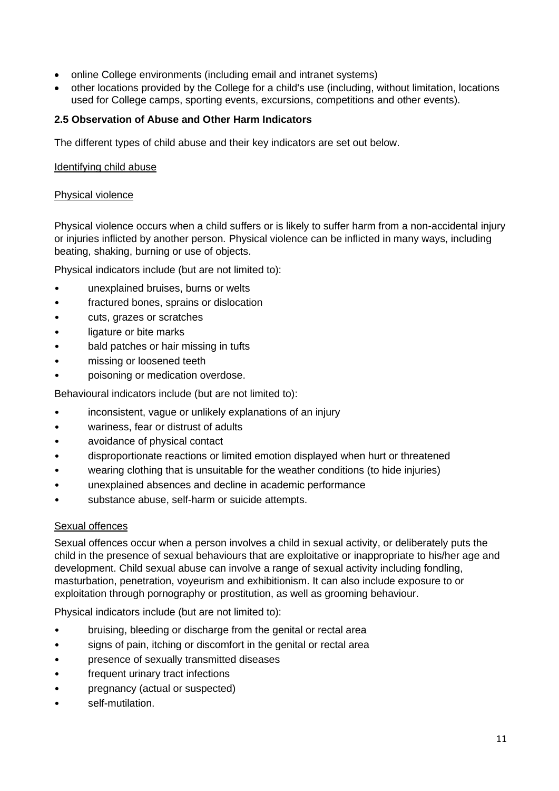- online College environments (including email and intranet systems)
- other locations provided by the College for a child's use (including, without limitation, locations used for College camps, sporting events, excursions, competitions and other events).

# **2.5 Observation of Abuse and Other Harm Indicators**

The different types of child abuse and their key indicators are set out below.

#### Identifying child abuse

#### Physical violence

Physical violence occurs when a child suffers or is likely to suffer harm from a non-accidental injury or injuries inflicted by another person. Physical violence can be inflicted in many ways, including beating, shaking, burning or use of objects.

Physical indicators include (but are not limited to):

- unexplained bruises, burns or welts
- fractured bones, sprains or dislocation
- cuts, grazes or scratches
- ligature or bite marks
- bald patches or hair missing in tufts
- missing or loosened teeth
- poisoning or medication overdose.

Behavioural indicators include (but are not limited to):

- inconsistent, vague or unlikely explanations of an injury
- wariness, fear or distrust of adults
- avoidance of physical contact
- disproportionate reactions or limited emotion displayed when hurt or threatened
- wearing clothing that is unsuitable for the weather conditions (to hide injuries)
- unexplained absences and decline in academic performance
- substance abuse, self-harm or suicide attempts.

#### Sexual offences

Sexual offences occur when a person involves a child in sexual activity, or deliberately puts the child in the presence of sexual behaviours that are exploitative or inappropriate to his/her age and development. Child sexual abuse can involve a range of sexual activity including fondling, masturbation, penetration, voyeurism and exhibitionism. It can also include exposure to or exploitation through pornography or prostitution, as well as grooming behaviour.

Physical indicators include (but are not limited to):

- bruising, bleeding or discharge from the genital or rectal area
- signs of pain, itching or discomfort in the genital or rectal area
- presence of sexually transmitted diseases
- frequent urinary tract infections
- pregnancy (actual or suspected)
- self-mutilation.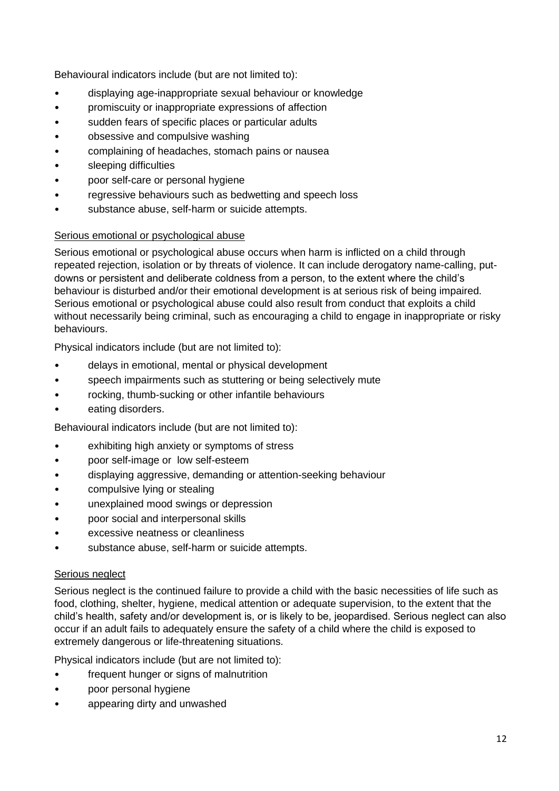Behavioural indicators include (but are not limited to):

- displaying age-inappropriate sexual behaviour or knowledge
- promiscuity or inappropriate expressions of affection
- sudden fears of specific places or particular adults
- obsessive and compulsive washing
- complaining of headaches, stomach pains or nausea
- sleeping difficulties
- poor self-care or personal hygiene
- regressive behaviours such as bedwetting and speech loss
- substance abuse, self-harm or suicide attempts.

# Serious emotional or psychological abuse

Serious emotional or psychological abuse occurs when harm is inflicted on a child through repeated rejection, isolation or by threats of violence. It can include derogatory name-calling, putdowns or persistent and deliberate coldness from a person, to the extent where the child's behaviour is disturbed and/or their emotional development is at serious risk of being impaired. Serious emotional or psychological abuse could also result from conduct that exploits a child without necessarily being criminal, such as encouraging a child to engage in inappropriate or risky behaviours.

Physical indicators include (but are not limited to):

- delays in emotional, mental or physical development
- speech impairments such as stuttering or being selectively mute
- rocking, thumb-sucking or other infantile behaviours
- eating disorders.

Behavioural indicators include (but are not limited to):

- exhibiting high anxiety or symptoms of stress
- poor self-image or low self-esteem
- displaying aggressive, demanding or attention-seeking behaviour
- compulsive lying or stealing
- unexplained mood swings or depression
- poor social and interpersonal skills
- excessive neatness or cleanliness
- substance abuse, self-harm or suicide attempts.

# Serious neglect

Serious neglect is the continued failure to provide a child with the basic necessities of life such as food, clothing, shelter, hygiene, medical attention or adequate supervision, to the extent that the child's health, safety and/or development is, or is likely to be, jeopardised. Serious neglect can also occur if an adult fails to adequately ensure the safety of a child where the child is exposed to extremely dangerous or life-threatening situations.

Physical indicators include (but are not limited to):

- frequent hunger or signs of malnutrition
- poor personal hygiene
- appearing dirty and unwashed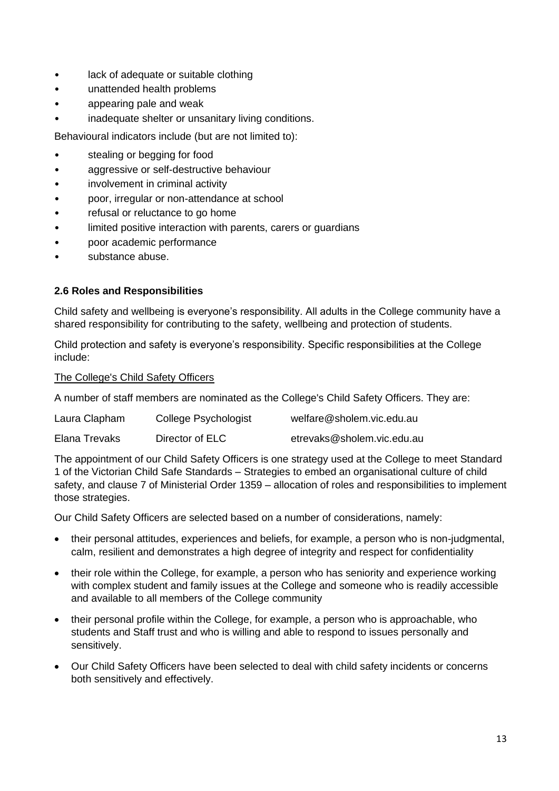- lack of adequate or suitable clothing
- unattended health problems
- appearing pale and weak
- inadequate shelter or unsanitary living conditions.

Behavioural indicators include (but are not limited to):

- stealing or begging for food
- aggressive or self-destructive behaviour
- involvement in criminal activity
- poor, irregular or non-attendance at school
- refusal or reluctance to go home
- limited positive interaction with parents, carers or guardians
- poor academic performance
- substance abuse.

# **2.6 Roles and Responsibilities**

Child safety and wellbeing is everyone's responsibility. All adults in the College community have a shared responsibility for contributing to the safety, wellbeing and protection of students.

Child protection and safety is everyone's responsibility. Specific responsibilities at the College include:

The College's Child Safety Officers

A number of staff members are nominated as the College's Child Safety Officers. They are:

| Laura Clapham | College Psychologist | welfare@sholem.vic.edu.au  |
|---------------|----------------------|----------------------------|
| Elana Trevaks | Director of ELC      | etrevaks@sholem.vic.edu.au |

The appointment of our Child Safety Officers is one strategy used at the College to meet Standard 1 of the Victorian Child Safe Standards – Strategies to embed an organisational culture of child safety, and clause 7 of Ministerial Order 1359 – allocation of roles and responsibilities to implement those strategies.

Our Child Safety Officers are selected based on a number of considerations, namely:

- their personal attitudes, experiences and beliefs, for example, a person who is non-judgmental, calm, resilient and demonstrates a high degree of integrity and respect for confidentiality
- their role within the College, for example, a person who has seniority and experience working with complex student and family issues at the College and someone who is readily accessible and available to all members of the College community
- their personal profile within the College, for example, a person who is approachable, who students and Staff trust and who is willing and able to respond to issues personally and sensitively.
- Our Child Safety Officers have been selected to deal with child safety incidents or concerns both sensitively and effectively.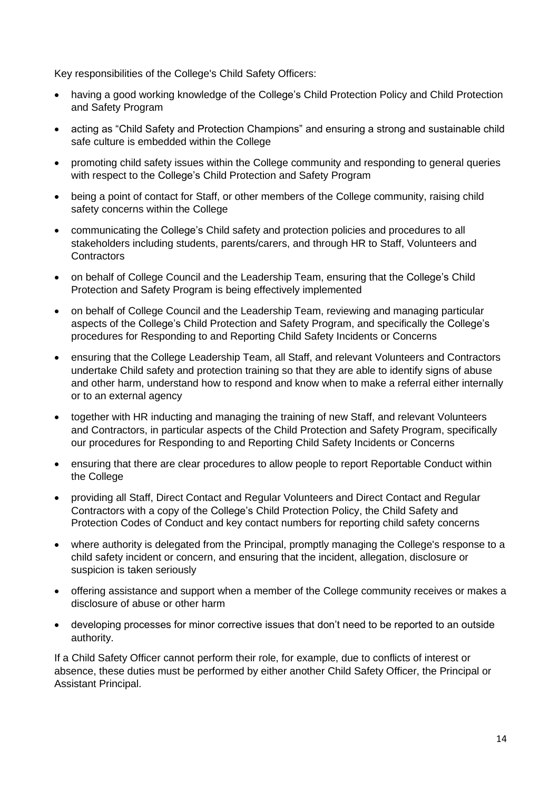Key responsibilities of the College's Child Safety Officers:

- having a good working knowledge of the College's Child Protection Policy and Child Protection and Safety Program
- acting as "Child Safety and Protection Champions" and ensuring a strong and sustainable child safe culture is embedded within the College
- promoting child safety issues within the College community and responding to general queries with respect to the College's Child Protection and Safety Program
- being a point of contact for Staff, or other members of the College community, raising child safety concerns within the College
- communicating the College's Child safety and protection policies and procedures to all stakeholders including students, parents/carers, and through HR to Staff, Volunteers and **Contractors**
- on behalf of College Council and the Leadership Team, ensuring that the College's Child Protection and Safety Program is being effectively implemented
- on behalf of College Council and the Leadership Team, reviewing and managing particular aspects of the College's Child Protection and Safety Program, and specifically the College's procedures for Responding to and Reporting Child Safety Incidents or Concerns
- ensuring that the College Leadership Team, all Staff, and relevant Volunteers and Contractors undertake Child safety and protection training so that they are able to identify signs of abuse and other harm, understand how to respond and know when to make a referral either internally or to an external agency
- together with HR inducting and managing the training of new Staff, and relevant Volunteers and Contractors, in particular aspects of the Child Protection and Safety Program, specifically our procedures for Responding to and Reporting Child Safety Incidents or Concerns
- ensuring that there are clear procedures to allow people to report Reportable Conduct within the College
- providing all Staff, Direct Contact and Regular Volunteers and Direct Contact and Regular Contractors with a copy of the College's Child Protection Policy, the Child Safety and Protection Codes of Conduct and key contact numbers for reporting child safety concerns
- where authority is delegated from the Principal, promptly managing the College's response to a child safety incident or concern, and ensuring that the incident, allegation, disclosure or suspicion is taken seriously
- offering assistance and support when a member of the College community receives or makes a disclosure of abuse or other harm
- developing processes for minor corrective issues that don't need to be reported to an outside authority.

If a Child Safety Officer cannot perform their role, for example, due to conflicts of interest or absence, these duties must be performed by either another Child Safety Officer, the Principal or Assistant Principal.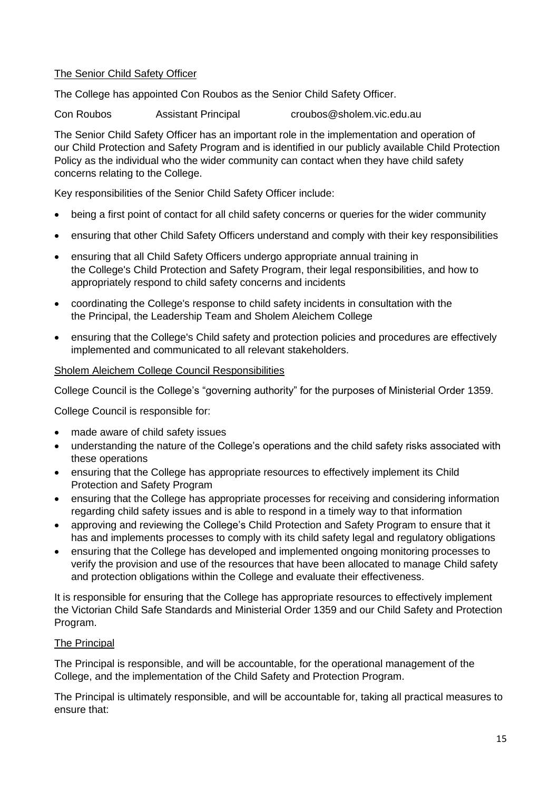# The Senior Child Safety Officer

The College has appointed Con Roubos as the Senior Child Safety Officer.

Con Roubos Assistant Principal croubos@sholem.vic.edu.au

The Senior Child Safety Officer has an important role in the implementation and operation of our Child Protection and Safety Program and is identified in our publicly available Child Protection Policy as the individual who the wider community can contact when they have child safety concerns relating to the College.

Key responsibilities of the Senior Child Safety Officer include:

- being a first point of contact for all child safety concerns or queries for the wider community
- ensuring that other Child Safety Officers understand and comply with their key responsibilities
- ensuring that all Child Safety Officers undergo appropriate annual training in the College's Child Protection and Safety Program, their legal responsibilities, and how to appropriately respond to child safety concerns and incidents
- coordinating the College's response to child safety incidents in consultation with the the Principal, the Leadership Team and Sholem Aleichem College
- ensuring that the College's Child safety and protection policies and procedures are effectively implemented and communicated to all relevant stakeholders.

# Sholem Aleichem College Council Responsibilities

College Council is the College's "governing authority" for the purposes of Ministerial Order 1359.

College Council is responsible for:

- made aware of child safety issues
- understanding the nature of the College's operations and the child safety risks associated with these operations
- ensuring that the College has appropriate resources to effectively implement its Child Protection and Safety Program
- ensuring that the College has appropriate processes for receiving and considering information regarding child safety issues and is able to respond in a timely way to that information
- approving and reviewing the College's Child Protection and Safety Program to ensure that it has and implements processes to comply with its child safety legal and regulatory obligations
- ensuring that the College has developed and implemented ongoing monitoring processes to verify the provision and use of the resources that have been allocated to manage Child safety and protection obligations within the College and evaluate their effectiveness.

It is responsible for ensuring that the College has appropriate resources to effectively implement the Victorian Child Safe Standards and Ministerial Order 1359 and our Child Safety and Protection Program.

# The Principal

The Principal is responsible, and will be accountable, for the operational management of the College, and the implementation of the Child Safety and Protection Program.

The Principal is ultimately responsible, and will be accountable for, taking all practical measures to ensure that: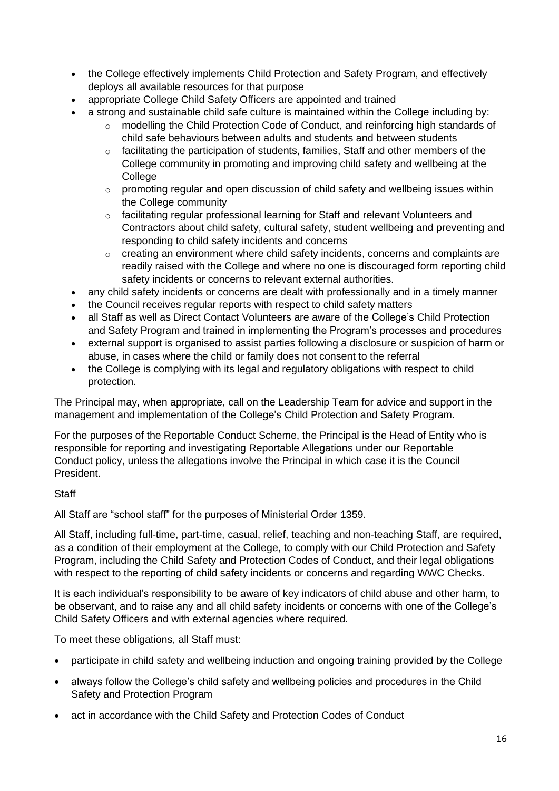- the College effectively implements Child Protection and Safety Program, and effectively deploys all available resources for that purpose
- appropriate College Child Safety Officers are appointed and trained
- a strong and sustainable child safe culture is maintained within the College including by:
	- o modelling the Child Protection Code of Conduct, and reinforcing high standards of child safe behaviours between adults and students and between students
	- o facilitating the participation of students, families, Staff and other members of the College community in promoting and improving child safety and wellbeing at the **College**
	- o promoting regular and open discussion of child safety and wellbeing issues within the College community
	- o facilitating regular professional learning for Staff and relevant Volunteers and Contractors about child safety, cultural safety, student wellbeing and preventing and responding to child safety incidents and concerns
	- o creating an environment where child safety incidents, concerns and complaints are readily raised with the College and where no one is discouraged form reporting child safety incidents or concerns to relevant external authorities.
- any child safety incidents or concerns are dealt with professionally and in a timely manner
- the Council receives regular reports with respect to child safety matters
- all Staff as well as Direct Contact Volunteers are aware of the College's Child Protection and Safety Program and trained in implementing the Program's processes and procedures
- external support is organised to assist parties following a disclosure or suspicion of harm or abuse, in cases where the child or family does not consent to the referral
- the College is complying with its legal and regulatory obligations with respect to child protection.

The Principal may, when appropriate, call on the Leadership Team for advice and support in the management and implementation of the College's Child Protection and Safety Program.

For the purposes of the Reportable Conduct Scheme, the Principal is the Head of Entity who is responsible for reporting and investigating Reportable Allegations under our Reportable Conduct policy, unless the allegations involve the Principal in which case it is the Council President.

# **Staff**

All Staff are "school staff" for the purposes of Ministerial Order 1359.

All Staff, including full-time, part-time, casual, relief, teaching and non-teaching Staff, are required, as a condition of their employment at the College, to comply with our Child Protection and Safety Program, including the Child Safety and Protection Codes of Conduct, and their legal obligations with respect to the reporting of child safety incidents or concerns and regarding WWC Checks.

It is each individual's responsibility to be aware of key indicators of child abuse and other harm, to be observant, and to raise any and all child safety incidents or concerns with one of the College's Child Safety Officers and with external agencies where required.

To meet these obligations, all Staff must:

- participate in child safety and wellbeing induction and ongoing training provided by the College
- always follow the College's child safety and wellbeing policies and procedures in the Child Safety and Protection Program
- act in accordance with the Child Safety and Protection Codes of Conduct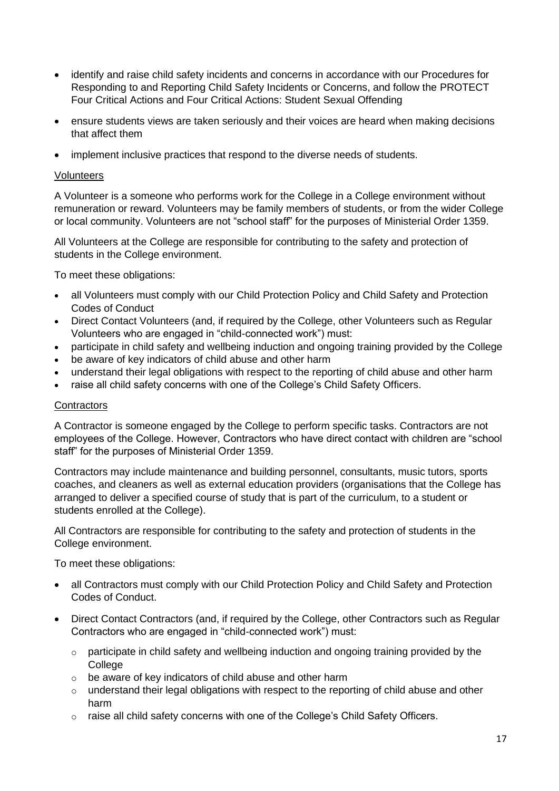- identify and raise child safety incidents and concerns in accordance with our Procedures for Responding to and Reporting Child Safety Incidents or Concerns, and follow the PROTECT Four Critical Actions and Four Critical Actions: Student Sexual Offending
- ensure students views are taken seriously and their voices are heard when making decisions that affect them
- implement inclusive practices that respond to the diverse needs of students.

### **Volunteers**

A Volunteer is a someone who performs work for the College in a College environment without remuneration or reward. Volunteers may be family members of students, or from the wider College or local community. Volunteers are not "school staff" for the purposes of Ministerial Order 1359.

All Volunteers at the College are responsible for contributing to the safety and protection of students in the College environment.

To meet these obligations:

- all Volunteers must comply with our Child Protection Policy and Child Safety and Protection Codes of Conduct
- Direct Contact Volunteers (and, if required by the College, other Volunteers such as Regular Volunteers who are engaged in "child-connected work") must:
- participate in child safety and wellbeing induction and ongoing training provided by the College
- be aware of key indicators of child abuse and other harm
- understand their legal obligations with respect to the reporting of child abuse and other harm
- raise all child safety concerns with one of the College's Child Safety Officers.

#### **Contractors**

A Contractor is someone engaged by the College to perform specific tasks. Contractors are not employees of the College. However, Contractors who have direct contact with children are "school staff" for the purposes of Ministerial Order 1359.

Contractors may include maintenance and building personnel, consultants, music tutors, sports coaches, and cleaners as well as external education providers (organisations that the College has arranged to deliver a specified course of study that is part of the curriculum, to a student or students enrolled at the College).

All Contractors are responsible for contributing to the safety and protection of students in the College environment.

To meet these obligations:

- all Contractors must comply with our Child Protection Policy and Child Safety and Protection Codes of Conduct.
- Direct Contact Contractors (and, if required by the College, other Contractors such as Regular Contractors who are engaged in "child-connected work") must:
	- o participate in child safety and wellbeing induction and ongoing training provided by the **College**
	- o be aware of key indicators of child abuse and other harm
	- $\circ$  understand their legal obligations with respect to the reporting of child abuse and other harm
	- o raise all child safety concerns with one of the College's Child Safety Officers.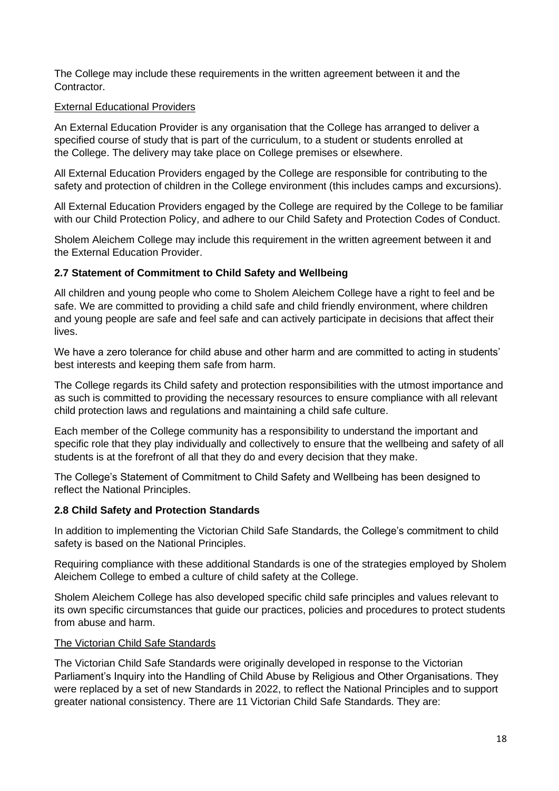The College may include these requirements in the written agreement between it and the Contractor.

#### External Educational Providers

An External Education Provider is any organisation that the College has arranged to deliver a specified course of study that is part of the curriculum, to a student or students enrolled at the College. The delivery may take place on College premises or elsewhere.

All External Education Providers engaged by the College are responsible for contributing to the safety and protection of children in the College environment (this includes camps and excursions).

All External Education Providers engaged by the College are required by the College to be familiar with our [Child Protection Policy,](https://sholem.complispaceprimary.com.au/module/53/page/04a71e8b-21b0-4a66-8b06-a479ec3e5b07.md) and adhere to our [Child Safety and Protection](https://sholem.complispaceprimary.com.au/module/262/page/2e70de43-5042-491d-94c0-999c6164ace9.md) Codes of Conduct.

Sholem Aleichem College may include this requirement in the written agreement between it and the External Education Provider.

#### **2.7 Statement of Commitment to Child Safety and Wellbeing**

All children and young people who come to Sholem Aleichem College have a right to feel and be safe. We are committed to providing a child safe and child friendly environment, where children and young people are safe and feel safe and can actively participate in decisions that affect their lives.

We have a zero tolerance for child abuse and other harm and are committed to acting in students' best interests and keeping them safe from harm.

The College regards its Child safety and protection responsibilities with the utmost importance and as such is committed to providing the necessary resources to ensure compliance with all relevant child protection laws and regulations and maintaining a child safe culture.

Each member of the College community has a responsibility to understand the important and specific role that they play individually and collectively to ensure that the wellbeing and safety of all students is at the forefront of all that they do and every decision that they make.

The College's Statement of Commitment to Child Safety and Wellbeing has been designed to reflect the National Principles.

#### **2.8 Child Safety and Protection Standards**

In addition to implementing the Victorian Child Safe Standards, the College's commitment to child safety is based on the National Principles.

Requiring compliance with these additional Standards is one of the strategies employed by Sholem Aleichem College to embed a culture of child safety at the College.

Sholem Aleichem College has also developed specific child safe principles and values relevant to its own specific circumstances that guide our practices, policies and procedures to protect students from abuse and harm.

#### The Victorian Child Safe Standards

The Victorian Child Safe Standards were originally developed in response to the Victorian Parliament's Inquiry into the Handling of Child Abuse by Religious and Other Organisations. They were replaced by a set of new Standards in 2022, to reflect the National Principles and to support greater national consistency. There are 11 Victorian Child Safe Standards. They are: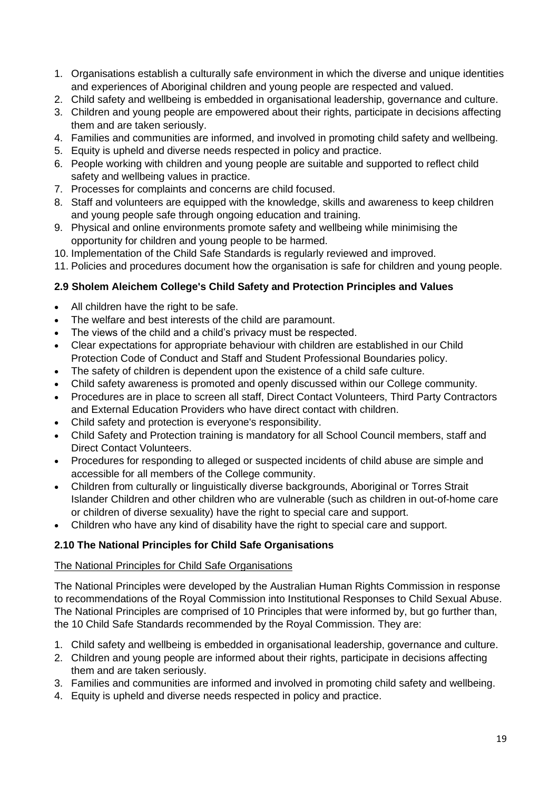- 1. Organisations establish a culturally safe environment in which the diverse and unique identities and experiences of Aboriginal children and young people are respected and valued.
- 2. Child safety and wellbeing is embedded in organisational leadership, governance and culture.
- 3. Children and young people are empowered about their rights, participate in decisions affecting them and are taken seriously.
- 4. Families and communities are informed, and involved in promoting child safety and wellbeing.
- 5. Equity is upheld and diverse needs respected in policy and practice.
- 6. People working with children and young people are suitable and supported to reflect child safety and wellbeing values in practice.
- 7. Processes for complaints and concerns are child focused.
- 8. Staff and volunteers are equipped with the knowledge, skills and awareness to keep children and young people safe through ongoing education and training.
- 9. Physical and online environments promote safety and wellbeing while minimising the opportunity for children and young people to be harmed.
- 10. Implementation of the Child Safe Standards is regularly reviewed and improved.
- 11. Policies and procedures document how the organisation is safe for children and young people.

# **2.9 Sholem Aleichem College's Child Safety and Protection Principles and Values**

- All children have the right to be safe.
- The welfare and best interests of the child are paramount.
- The views of the child and a child's privacy must be respected.
- Clear expectations for appropriate behaviour with children are established in our Child Protection Code of Conduct and Staff and Student Professional Boundaries policy.
- The safety of children is dependent upon the existence of a child safe culture.
- Child safety awareness is promoted and openly discussed within our College community.
- Procedures are in place to screen all staff, Direct Contact Volunteers, Third Party Contractors and External Education Providers who have direct contact with children.
- Child safety and protection is everyone's responsibility.
- Child Safety and Protection training is mandatory for all School Council members, staff and Direct Contact Volunteers.
- Procedures for responding to alleged or suspected incidents of child abuse are simple and accessible for all members of the College community.
- Children from culturally or linguistically diverse backgrounds, Aboriginal or Torres Strait Islander Children and other children who are vulnerable (such as children in out-of-home care or children of diverse sexuality) have the right to special care and support.
- Children who have any kind of disability have the right to special care and support.

# **2.10 The National Principles for Child Safe Organisations**

# The National Principles for Child Safe Organisations

The National Principles were developed by the Australian Human Rights Commission in response to recommendations of the Royal Commission into Institutional Responses to Child Sexual Abuse. The National Principles are comprised of 10 Principles that were informed by, but go further than, the 10 Child Safe Standards recommended by the Royal Commission. They are:

- 1. Child safety and wellbeing is embedded in organisational leadership, governance and culture.
- 2. Children and young people are informed about their rights, participate in decisions affecting them and are taken seriously.
- 3. Families and communities are informed and involved in promoting child safety and wellbeing.
- 4. Equity is upheld and diverse needs respected in policy and practice.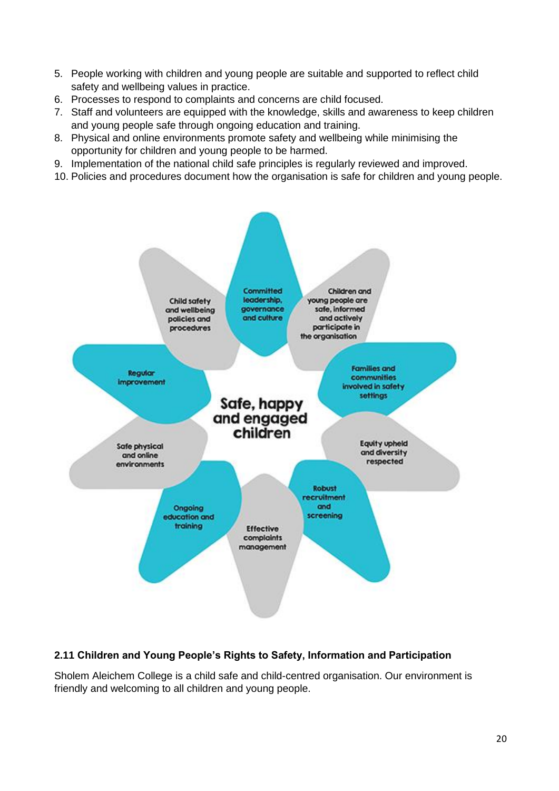- 5. People working with children and young people are suitable and supported to reflect child safety and wellbeing values in practice.
- 6. Processes to respond to complaints and concerns are child focused.
- 7. Staff and volunteers are equipped with the knowledge, skills and awareness to keep children and young people safe through ongoing education and training.
- 8. Physical and online environments promote safety and wellbeing while minimising the opportunity for children and young people to be harmed.
- 9. Implementation of the national child safe principles is regularly reviewed and improved.
- 10. Policies and procedures document how the organisation is safe for children and young people.



# **2.11 Children and Young People's Rights to Safety, Information and Participation**

Sholem Aleichem College is a child safe and child-centred organisation. Our environment is friendly and welcoming to all children and young people.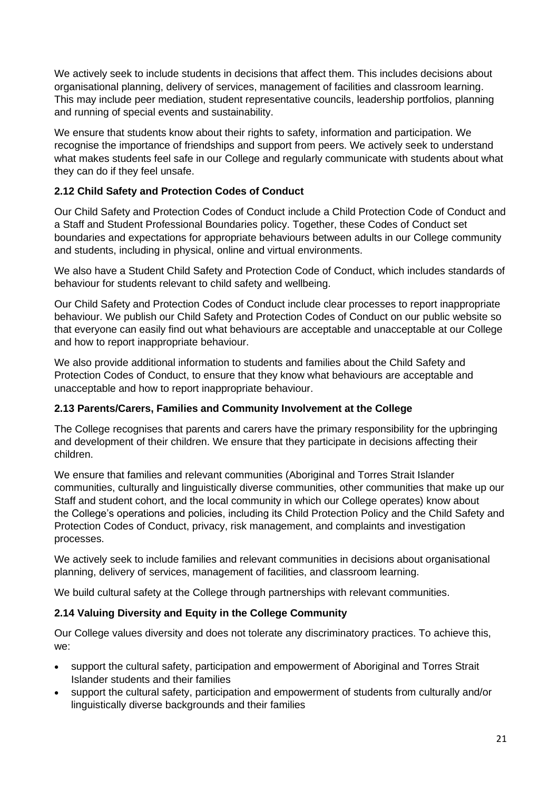We actively seek to include students in decisions that affect them. This includes decisions about organisational planning, delivery of services, management of facilities and classroom learning. This may include peer mediation, student representative councils, leadership portfolios, planning and running of special events and sustainability.

We ensure that students know about their rights to safety, information and participation. We recognise the importance of friendships and support from peers. We actively seek to understand what makes students feel safe in our College and regularly communicate with students about what they can do if they feel unsafe.

# **2.12 Child Safety and Protection Codes of Conduct**

Our Child Safety and Protection Codes of Conduct include a Child Protection Code of Conduct and a Staff and Student Professional Boundaries policy. Together, these Codes of Conduct set boundaries and expectations for appropriate behaviours between adults in our College community and students, including in physical, online and virtual environments.

We also have a Student Child Safety and Protection Code of Conduct, which includes standards of behaviour for students relevant to child safety and wellbeing.

Our Child Safety and Protection Codes of Conduct include clear processes to report inappropriate behaviour. We publish our Child Safety and Protection Codes of Conduct on our public website so that everyone can easily find out what behaviours are acceptable and unacceptable at our College and how to report inappropriate behaviour.

We also provide additional information to students and families about the Child Safety and Protection Codes of Conduct, to ensure that they know what behaviours are acceptable and unacceptable and how to report inappropriate behaviour.

# **2.13 Parents/Carers, Families and Community Involvement at the College**

The College recognises that parents and carers have the primary responsibility for the upbringing and development of their children. We ensure that they participate in decisions affecting their children.

We ensure that families and relevant communities (Aboriginal and Torres Strait Islander communities, culturally and linguistically diverse communities, other communities that make up our Staff and student cohort, and the local community in which our College operates) know about the College's operations and policies, including its [Child Protection Policy](https://sholem.complispaceprimary.com.au/module/53/page/04a71e8b-21b0-4a66-8b06-a479ec3e5b07.md) and the Child Safety and Protection Codes of Conduct, privacy, risk management, and complaints and investigation processes.

We actively seek to include families and relevant communities in decisions about organisational planning, delivery of services, management of facilities, and classroom learning.

We build cultural safety at the College through partnerships with relevant communities.

# **2.14 Valuing Diversity and Equity in the College Community**

Our College values diversity and does not tolerate any discriminatory practices. To achieve this, we:

- support the cultural safety, participation and empowerment of Aboriginal and Torres Strait Islander students and their families
- support the cultural safety, participation and empowerment of students from culturally and/or linguistically diverse backgrounds and their families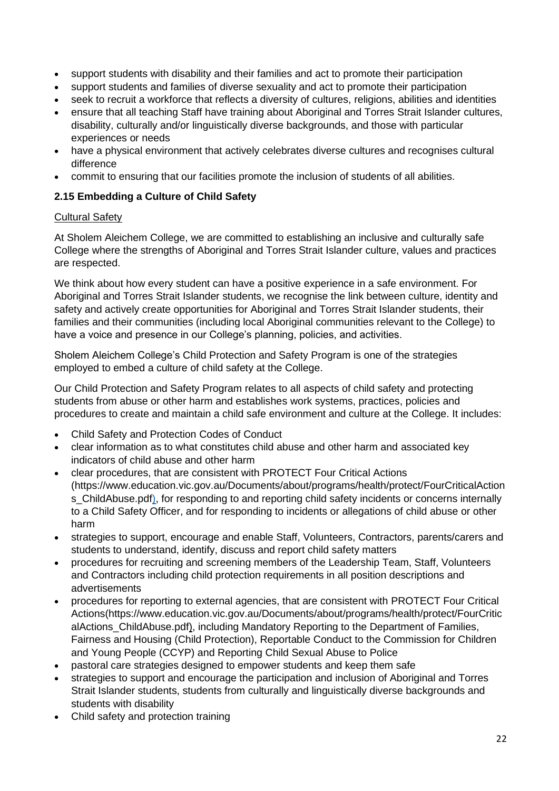- support students with disability and their families and act to promote their participation
- support students and families of diverse sexuality and act to promote their participation
- seek to recruit a workforce that reflects a diversity of cultures, religions, abilities and identities
- ensure that all teaching Staff have training about Aboriginal and Torres Strait Islander cultures, disability, culturally and/or linguistically diverse backgrounds, and those with particular experiences or needs
- have a physical environment that actively celebrates diverse cultures and recognises cultural difference
- commit to ensuring that our facilities promote the inclusion of students of all abilities.

# **2.15 Embedding a Culture of Child Safety**

# Cultural Safety

At Sholem Aleichem College, we are committed to establishing an inclusive and culturally safe College where the strengths of Aboriginal and Torres Strait Islander culture, values and practices are respected.

We think about how every student can have a positive experience in a safe environment. For Aboriginal and Torres Strait Islander students, we recognise the link between culture, identity and safety and actively create opportunities for Aboriginal and Torres Strait Islander students, their families and their communities (including local Aboriginal communities relevant to the College) to have a voice and presence in our College's planning, policies, and activities.

Sholem Aleichem College's Child Protection and Safety Program is one of the strategies employed to embed a culture of child safety at the College.

Our Child Protection and Safety Program relates to all aspects of child safety and protecting students from abuse or other harm and establishes work systems, practices, policies and procedures to create and maintain a child safe environment and culture at the College. It includes:

- Child Safety and Protection Codes of Conduct
- clear information as to what constitutes child abuse and other harm and associated key indicators of child abuse and other harm
- clear procedures, that are consistent with [PROTECT Four Critical Actions](https://www.education.vic.gov.au/Documents/about/programs/health/protect/FourCriticalActions_ChildAbuse.pdf) (https://www.education.vic.gov.au/Documents/about/programs/health/protect/FourCriticalAction s ChildAbuse.pdf), for responding to and reporting child safety incidents or concerns internally to a Child Safety Officer, and for responding to incidents or allegations of child abuse or other harm
- strategies to support, encourage and enable Staff, Volunteers, Contractors, parents/carers and students to understand, identify, discuss and report child safety matters
- procedures for recruiting and screening members of the Leadership Team, Staff, Volunteers and Contractors including child protection requirements in all position descriptions and advertisements
- procedures for reporting to external agencies, that are consistent with [PROTECT Four Critical](https://www.education.vic.gov.au/Documents/about/programs/health/protect/FourCriticalActions_ChildAbuse.pdf)  [Actions\(](https://www.education.vic.gov.au/Documents/about/programs/health/protect/FourCriticalActions_ChildAbuse.pdf)https://www.education.vic.gov.au/Documents/about/programs/health/protect/FourCritic alActions ChildAbuse.pdf), including Mandatory Reporting to the Department of Families, Fairness and Housing (Child Protection), Reportable Conduct to the Commission for Children and Young People (CCYP) and Reporting Child Sexual Abuse to Police
- pastoral care strategies designed to empower students and keep them safe
- strategies to support and encourage the participation and inclusion of Aboriginal and Torres Strait Islander students, students from culturally and linguistically diverse backgrounds and students with disability
- Child safety and protection training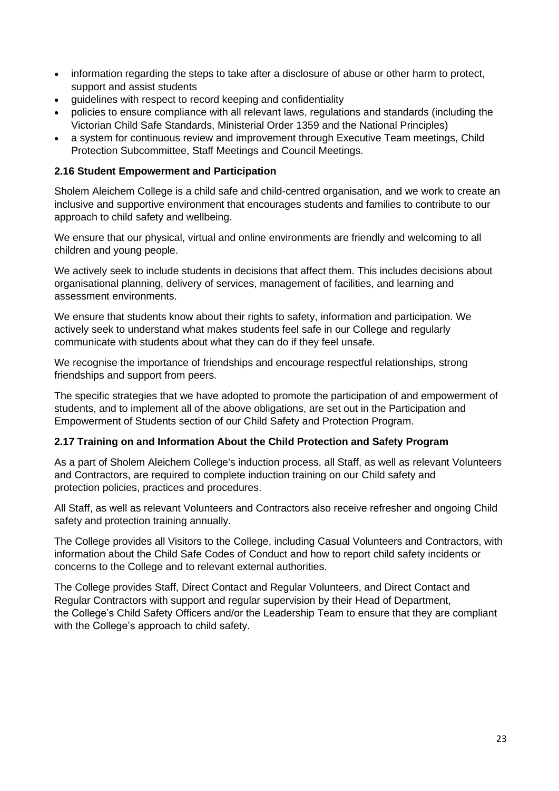- information regarding the steps to take after a disclosure of abuse or other harm to protect, support and assist students
- quidelines with respect to record keeping and confidentiality
- policies to ensure compliance with all relevant laws, regulations and standards (including the Victorian Child Safe Standards, Ministerial Order 1359 and the National Principles)
- a system for continuous review and improvement through Executive Team meetings, Child Protection Subcommittee, Staff Meetings and Council Meetings.

# **2.16 Student Empowerment and Participation**

Sholem Aleichem College is a child safe and child-centred organisation, and we work to create an inclusive and supportive environment that encourages students and families to contribute to our approach to child safety and wellbeing.

We ensure that our physical, virtual and online environments are friendly and welcoming to all children and young people.

We actively seek to include students in decisions that affect them. This includes decisions about organisational planning, delivery of services, management of facilities, and learning and assessment environments.

We ensure that students know about their rights to safety, information and participation. We actively seek to understand what makes students feel safe in our College and regularly communicate with students about what they can do if they feel unsafe.

We recognise the importance of friendships and encourage respectful relationships, strong friendships and support from peers.

The specific strategies that we have adopted to promote the participation of and empowerment of students, and to implement all of the above obligations, are set out in the Participation and Empowerment of Students section of our Child Safety and Protection Program.

#### **2.17 Training on and Information About the Child Protection and Safety Program**

As a part of Sholem Aleichem College's induction process, all Staff, as well as relevant Volunteers and Contractors, are required to complete induction training on our Child safety and protection policies, practices and procedures.

All Staff, as well as relevant Volunteers and Contractors also receive refresher and ongoing Child safety and protection training annually.

The College provides all Visitors to the College, including Casual Volunteers and Contractors, with information about the Child Safe Codes of Conduct and how to report child safety incidents or concerns to the College and to relevant external authorities.

The College provides Staff, Direct Contact and Regular Volunteers, and Direct Contact and Regular Contractors with support and regular supervision by their Head of Department, the College's Child Safety Officers and/or the Leadership Team to ensure that they are compliant with the College's approach to child safety.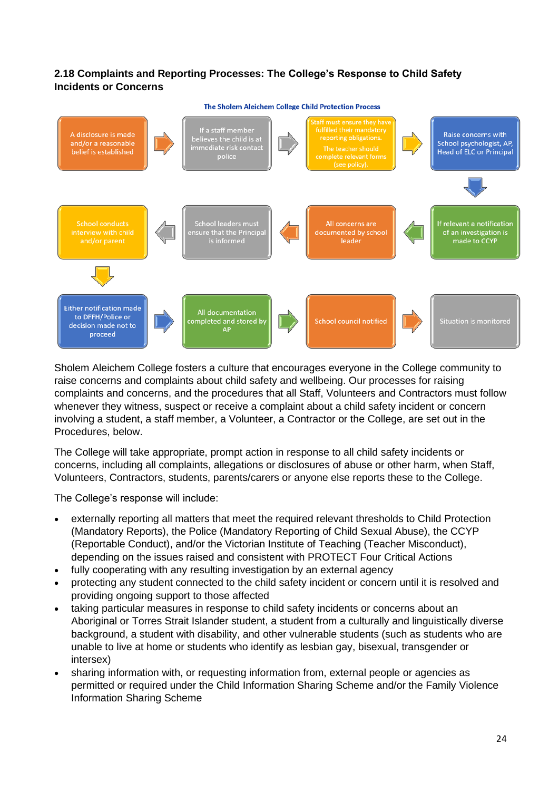# **2.18 Complaints and Reporting Processes: The College's Response to Child Safety Incidents or Concerns**

#### The Sholem Aleichem College Child Protection Process



Sholem Aleichem College fosters a culture that encourages everyone in the College community to raise concerns and complaints about child safety and wellbeing. Our processes for raising complaints and concerns, and the procedures that all Staff, Volunteers and Contractors must follow whenever they witness, suspect or receive a complaint about a child safety incident or concern involving a student, a staff member, a Volunteer, a Contractor or the College, are set out in the Procedures, below.

The College will take appropriate, prompt action in response to all child safety incidents or concerns, including all complaints, allegations or disclosures of abuse or other harm, when Staff, Volunteers, Contractors, students, parents/carers or anyone else reports these to the College.

The College's response will include:

- externally reporting all matters that meet the required relevant thresholds to Child Protection (Mandatory Reports), the Police (Mandatory Reporting of Child Sexual Abuse), the CCYP (Reportable Conduct), and/or the Victorian Institute of Teaching (Teacher Misconduct), depending on the issues raised and consistent with [PROTECT Four Critical Actions](https://www.education.vic.gov.au/Documents/about/programs/health/protect/FourCriticalActions_ChildAbuse.pdf)
- fully cooperating with any resulting investigation by an external agency
- protecting any student connected to the child safety incident or concern until it is resolved and providing ongoing support to those affected
- taking particular measures in response to child safety incidents or concerns about an Aboriginal or Torres Strait Islander student, a student from a culturally and linguistically diverse background, a student with disability, and other vulnerable students (such as students who are unable to live at home or students who identify as lesbian gay, bisexual, transgender or intersex)
- sharing information with, or requesting information from, external people or agencies as permitted or required under the Child Information Sharing Scheme and/or the Family Violence Information Sharing Scheme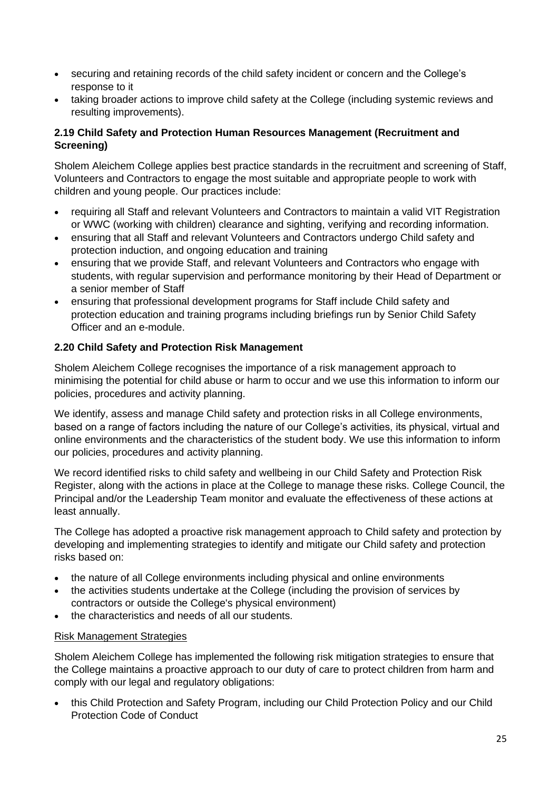- securing and retaining records of the child safety incident or concern and the College's response to it
- taking broader actions to improve child safety at the College (including systemic reviews and resulting improvements).

# **2.19 Child Safety and Protection Human Resources Management (Recruitment and Screening)**

Sholem Aleichem College applies best practice standards in the recruitment and screening of Staff, Volunteers and Contractors to engage the most suitable and appropriate people to work with children and young people. Our practices include:

- requiring all Staff and relevant Volunteers and Contractors to maintain a valid VIT Registration or WWC (working with children) clearance and sighting, verifying and recording information.
- ensuring that all Staff and relevant Volunteers and Contractors undergo Child safety and protection induction, and ongoing education and training
- ensuring that we provide Staff, and relevant Volunteers and Contractors who engage with students, with regular supervision and performance monitoring by their Head of Department or a senior member of Staff
- ensuring that professional development programs for Staff include Child safety and protection education and training programs including briefings run by Senior Child Safety Officer and an e-module.

# **2.20 Child Safety and Protection Risk Management**

Sholem Aleichem College recognises the importance of a risk management approach to minimising the potential for child abuse or harm to occur and we use this information to inform our policies, procedures and activity planning.

We identify, assess and manage Child safety and protection risks in all College environments, based on a range of factors including the nature of our College's activities, its physical, virtual and online environments and the characteristics of the student body. We use this information to inform our policies, procedures and activity planning.

We record identified risks to child safety and wellbeing in our Child Safety and Protection Risk Register, along with the actions in place at the College to manage these risks. College Council, the Principal and/or the Leadership Team monitor and evaluate the effectiveness of these actions at least annually.

The College has adopted a proactive risk management approach to Child safety and protection by developing and implementing strategies to identify and mitigate our Child safety and protection risks based on:

- the nature of all College environments including physical and online environments
- the activities students undertake at the College (including the provision of services by contractors or outside the College's physical environment)
- the characteristics and needs of all our students.

#### Risk Management Strategies

Sholem Aleichem College has implemented the following risk mitigation strategies to ensure that the College maintains a proactive approach to our duty of care to protect children from harm and comply with our legal and regulatory obligations:

• this Child Protection and Safety Program, including our Child Protection Policy and our Child Protection Code of Conduct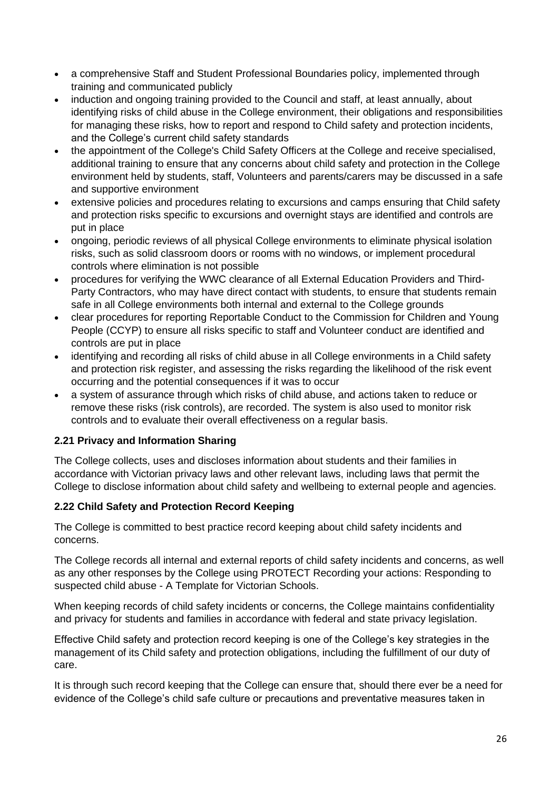- a comprehensive Staff and Student Professional Boundaries policy, implemented through training and communicated publicly
- induction and ongoing training provided to the Council and staff, at least annually, about identifying risks of child abuse in the College environment, their obligations and responsibilities for managing these risks, how to report and respond to Child safety and protection incidents, and the College's current child safety standards
- the appointment of the College's Child Safety Officers at the College and receive specialised, additional training to ensure that any concerns about child safety and protection in the College environment held by students, staff, Volunteers and parents/carers may be discussed in a safe and supportive environment
- extensive policies and procedures relating to excursions and camps ensuring that Child safety and protection risks specific to excursions and overnight stays are identified and controls are put in place
- ongoing, periodic reviews of all physical College environments to eliminate physical isolation risks, such as solid classroom doors or rooms with no windows, or implement procedural controls where elimination is not possible
- procedures for verifying the WWC clearance of all External Education Providers and Third-Party Contractors, who may have direct contact with students, to ensure that students remain safe in all College environments both internal and external to the College grounds
- clear procedures for reporting Reportable Conduct to the Commission for Children and Young People (CCYP) to ensure all risks specific to staff and Volunteer conduct are identified and controls are put in place
- identifying and recording all risks of child abuse in all College environments in a Child safety and protection risk register, and assessing the risks regarding the likelihood of the risk event occurring and the potential consequences if it was to occur
- a system of assurance through which risks of child abuse, and actions taken to reduce or remove these risks (risk controls), are recorded. The system is also used to monitor risk controls and to evaluate their overall effectiveness on a regular basis.

# **2.21 Privacy and Information Sharing**

The College collects, uses and discloses information about students and their families in accordance with Victorian privacy laws and other relevant laws, including laws that permit the College to disclose information about child safety and wellbeing to external people and agencies.

# **2.22 Child Safety and Protection Record Keeping**

The College is committed to best practice record keeping about child safety incidents and concerns.

The College records all internal and external reports of child safety incidents and concerns, as well as any other responses by the College using PROTECT Recording your actions: Responding to suspected child abuse - A Template for Victorian Schools.

When keeping records of child safety incidents or concerns, the College maintains confidentiality and privacy for students and families in accordance with federal and state privacy legislation.

Effective Child safety and protection record keeping is one of the College's key strategies in the management of its Child safety and protection obligations, including the fulfillment of our duty of care.

It is through such record keeping that the College can ensure that, should there ever be a need for evidence of the College's child safe culture or precautions and preventative measures taken in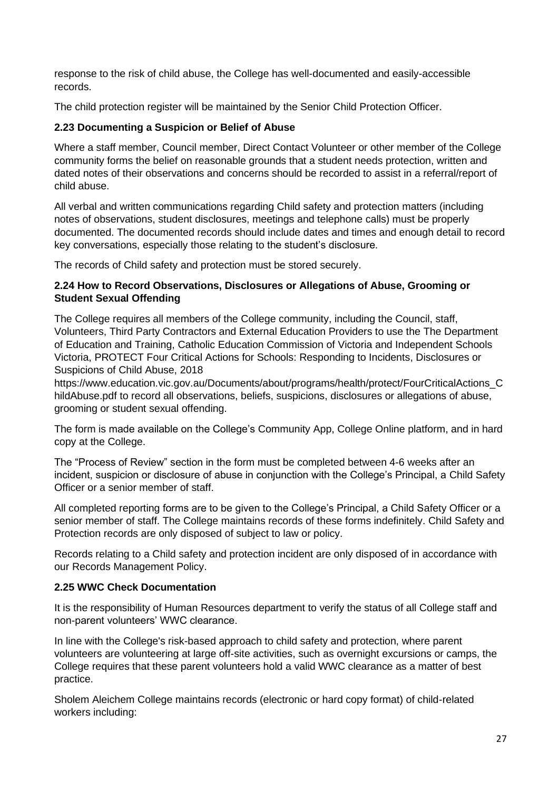response to the risk of child abuse, the College has well-documented and easily-accessible records.

The child protection register will be maintained by the Senior Child Protection Officer.

# **2.23 Documenting a Suspicion or Belief of Abuse**

Where a staff member, Council member, Direct Contact Volunteer or other member of the College community forms the belief on reasonable grounds that a student needs protection, written and dated notes of their observations and concerns should be recorded to assist in a referral/report of child abuse.

All verbal and written communications regarding Child safety and protection matters (including notes of observations, student disclosures, meetings and telephone calls) must be properly documented. The documented records should include dates and times and enough detail to record key conversations, especially those relating to the student's disclosure.

The records of Child safety and protection must be stored securely.

# **2.24 How to Record Observations, Disclosures or Allegations of Abuse, Grooming or Student Sexual Offending**

The College requires all members of the College community, including the Council, staff, Volunteers, Third Party Contractors and External Education Providers to use the The Department of Education and Training, Catholic Education Commission of Victoria and Independent Schools Victoria, PROTECT Four Critical Actions for Schools: Responding to Incidents, Disclosures or Suspicions of Child Abuse, 2018

https://www.education.vic.gov.au/Documents/about/programs/health/protect/FourCriticalActions\_C hildAbuse.pdf to record all observations, beliefs, suspicions, disclosures or allegations of abuse, grooming or student sexual offending.

The form is made available on the College's Community App, College Online platform, and in hard copy at the College.

The "Process of Review" section in the form must be completed between 4-6 weeks after an incident, suspicion or disclosure of abuse in conjunction with the College's Principal, a Child Safety Officer or a senior member of staff.

All completed reporting forms are to be given to the College's Principal, a Child Safety Officer or a senior member of staff. The College maintains records of these forms indefinitely. Child Safety and Protection records are only disposed of subject to law or policy.

Records relating to a Child safety and protection incident are only disposed of in accordance with our Records Management Policy.

# **2.25 WWC Check Documentation**

It is the responsibility of Human Resources department to verify the status of all College staff and non-parent volunteers' WWC clearance.

In line with the College's risk-based approach to child safety and protection, where parent volunteers are volunteering at large off-site activities, such as overnight excursions or camps, the College requires that these parent volunteers hold a valid WWC clearance as a matter of best practice.

Sholem Aleichem College maintains records (electronic or hard copy format) of child-related workers including: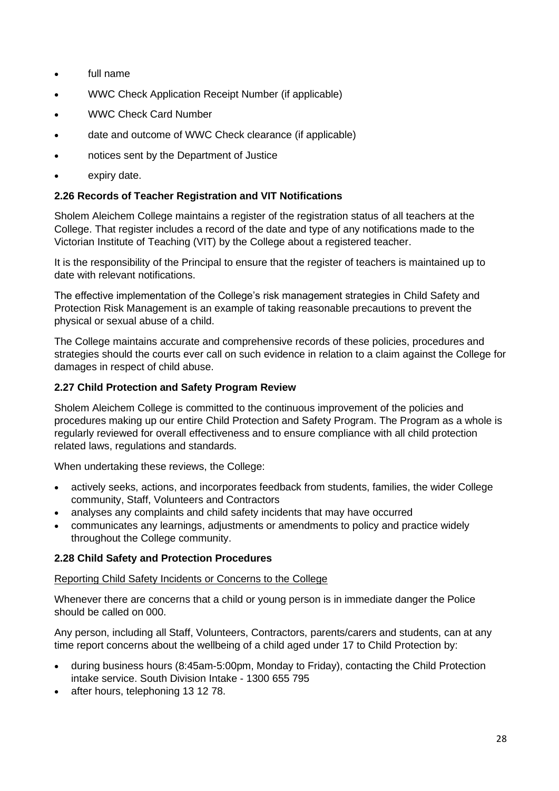- full name
- WWC Check Application Receipt Number (if applicable)
- WWC Check Card Number
- date and outcome of WWC Check clearance (if applicable)
- notices sent by the Department of Justice
- expiry date.

# **2.26 Records of Teacher Registration and VIT Notifications**

Sholem Aleichem College maintains a register of the registration status of all teachers at the College. That register includes a record of the date and type of any notifications made to the Victorian Institute of Teaching (VIT) by the College about a registered teacher.

It is the responsibility of the Principal to ensure that the register of teachers is maintained up to date with relevant notifications.

The effective implementation of the College's risk management strategies in Child Safety and Protection Risk Management is an example of taking reasonable precautions to prevent the physical or sexual abuse of a child.

The College maintains accurate and comprehensive records of these policies, procedures and strategies should the courts ever call on such evidence in relation to a claim against the College for damages in respect of child abuse.

# **2.27 Child Protection and Safety Program Review**

Sholem Aleichem College is committed to the continuous improvement of the policies and procedures making up our entire Child Protection and Safety Program. The Program as a whole is regularly reviewed for overall effectiveness and to ensure compliance with all child protection related laws, regulations and standards.

When undertaking these reviews, the College:

- actively seeks, actions, and incorporates feedback from students, families, the wider College community, Staff, Volunteers and Contractors
- analyses any complaints and child safety incidents that may have occurred
- communicates any learnings, adjustments or amendments to policy and practice widely throughout the College community.

# **2.28 Child Safety and Protection Procedures**

#### Reporting Child Safety Incidents or Concerns to the College

Whenever there are concerns that a child or young person is in immediate danger the Police should be called on 000.

Any person, including all Staff, Volunteers, Contractors, parents/carers and students, can at any time report concerns about the wellbeing of a child aged under 17 to Child Protection by:

- during business hours (8:45am-5:00pm, Monday to Friday), contacting the Child Protection intake service. South Division Intake - 1300 655 795
- after hours, telephoning 13 12 78.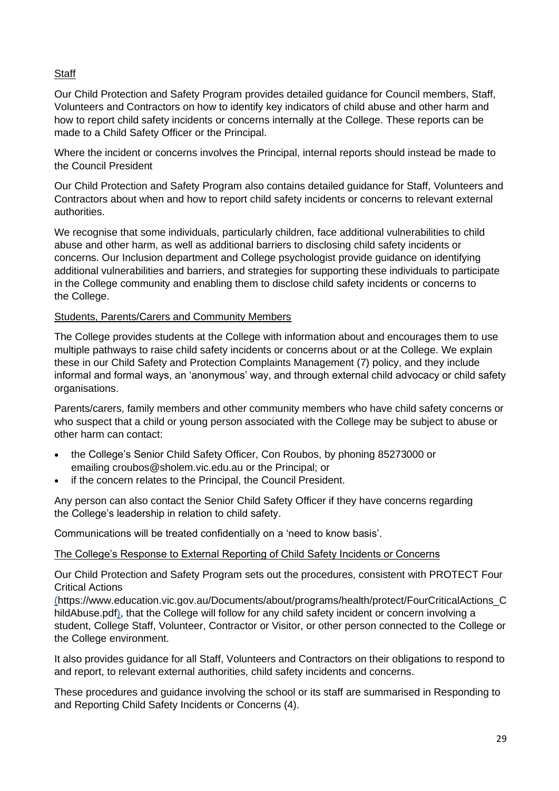# **Staff**

Our Child Protection and Safety Program provides detailed guidance for Council members, Staff, Volunteers and Contractors on how to identify key indicators of child abuse and other harm and how to report child safety incidents or concerns internally at the College. These reports can be made to a Child Safety Officer or the Principal.

Where the incident or concerns involves the Principal, internal reports should instead be made to the Council President

Our Child Protection and Safety Program also contains detailed guidance for Staff, Volunteers and Contractors about when and how to report child safety incidents or concerns to relevant external authorities.

We recognise that some individuals, particularly children, face additional vulnerabilities to child abuse and other harm, as well as additional barriers to disclosing child safety incidents or concerns. Our Inclusion department and College psychologist provide guidance on identifying additional vulnerabilities and barriers, and strategies for supporting these individuals to participate in the College community and enabling them to disclose child safety incidents or concerns to the College.

### Students, Parents/Carers and Community Members

The College provides students at the College with information about and encourages them to use multiple pathways to raise child safety incidents or concerns about or at the College. We explain these in our Child Safety and Protection Complaints Management (7) policy, and they include informal and formal ways, an 'anonymous' way, and through external child advocacy or child safety organisations.

Parents/carers, family members and other community members who have child safety concerns or who suspect that a child or young person associated with the College may be subject to abuse or other harm can contact:

- the College's Senior Child Safety Officer, Con Roubos, by phoning 85273000 or emailing croubos@sholem.vic.edu.au or the Principal; or
- if the concern relates to the Principal, the Council President.

Any person can also contact the Senior Child Safety Officer if they have concerns regarding the College's leadership in relation to child safety.

Communications will be treated confidentially on a 'need to know basis'.

#### The College's Response to External Reporting of Child Safety Incidents or Concerns

Our Child Protection and Safety Program sets out the procedures, consistent with PROTECT Four Critical Actions

(https://www.education.vic.gov.au/Documents/about/programs/health/protect/FourCriticalActions\_C hildAbuse.pdf), that the College will follow for any child safety incident or concern involving a student, College Staff, Volunteer, Contractor or Visitor, or other person connected to the College or the College environment.

It also provides guidance for all Staff, Volunteers and Contractors on their obligations to respond to and report, to relevant external authorities, child safety incidents and concerns.

These procedures and guidance involving the school or its staff are summarised in Responding to and Reporting Child Safety Incidents or Concerns (4).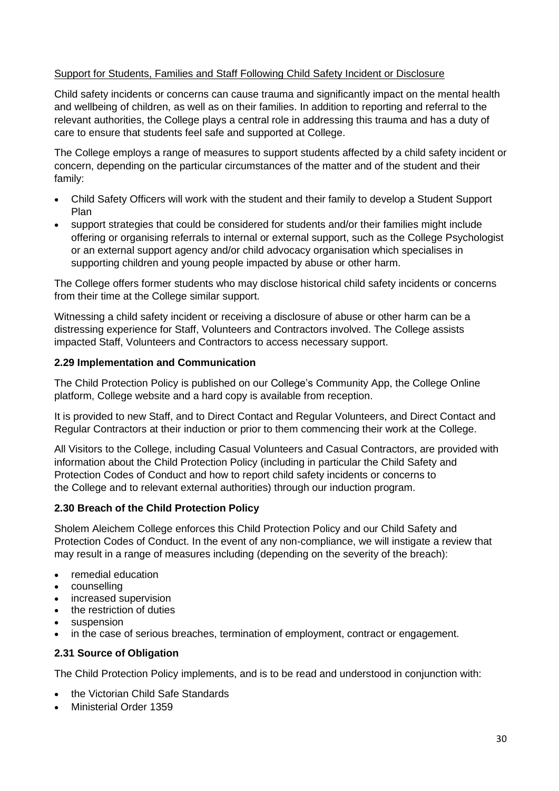# Support for Students, Families and Staff Following Child Safety Incident or Disclosure

Child safety incidents or concerns can cause trauma and significantly impact on the mental health and wellbeing of children, as well as on their families. In addition to reporting and referral to the relevant authorities, the College plays a central role in addressing this trauma and has a duty of care to ensure that students feel safe and supported at College.

The College employs a range of measures to support students affected by a child safety incident or concern, depending on the particular circumstances of the matter and of the student and their family:

- Child Safety Officers will work with the student and their family to develop a Student Support Plan
- support strategies that could be considered for students and/or their families might include offering or organising referrals to internal or external support, such as the College Psychologist or an external support agency and/or child advocacy organisation which specialises in supporting children and young people impacted by abuse or other harm.

The College offers former students who may disclose historical child safety incidents or concerns from their time at the College similar support.

Witnessing a child safety incident or receiving a disclosure of abuse or other harm can be a distressing experience for Staff, Volunteers and Contractors involved. The College assists impacted Staff, Volunteers and Contractors to access necessary support.

# **2.29 Implementation and Communication**

The Child Protection Policy is published on our College's Community App, the College Online platform, College website and a hard copy is available from reception.

It is provided to new Staff, and to Direct Contact and Regular Volunteers, and Direct Contact and Regular Contractors at their induction or prior to them commencing their work at the College.

All Visitors to the College, including Casual Volunteers and Casual Contractors, are provided with information about the [Child Protection Policy](https://sholem.complispaceprimary.com.au/module/53/page/04a71e8b-21b0-4a66-8b06-a479ec3e5b07.md) (including in particular the Child Safety and Protection Codes of Conduct and how to report child safety incidents or concerns to the College and to relevant external authorities) through our induction program.

# **2.30 Breach of the [Child Protection Policy](https://sholem.complispaceprimary.com.au/module/53/page/04a71e8b-21b0-4a66-8b06-a479ec3e5b07.md)**

Sholem Aleichem College enforces this [Child Protection Policy](https://sholem.complispaceprimary.com.au/module/53/page/04a71e8b-21b0-4a66-8b06-a479ec3e5b07.md) and our Child Safety and Protection Codes of Conduct. In the event of any non-compliance, we will instigate a review that may result in a range of measures including (depending on the severity of the breach):

- remedial education
- counselling
- increased supervision
- the restriction of duties
- suspension
- in the case of serious breaches, termination of employment, contract or engagement.

#### **2.31 Source of Obligation**

The [Child Protection Policy](https://sholem.complispaceprimary.com.au/module/53/page/04a71e8b-21b0-4a66-8b06-a479ec3e5b07.md) implements, and is to be read and understood in conjunction with:

- the Victorian Child Safe Standards
- Ministerial Order 1359